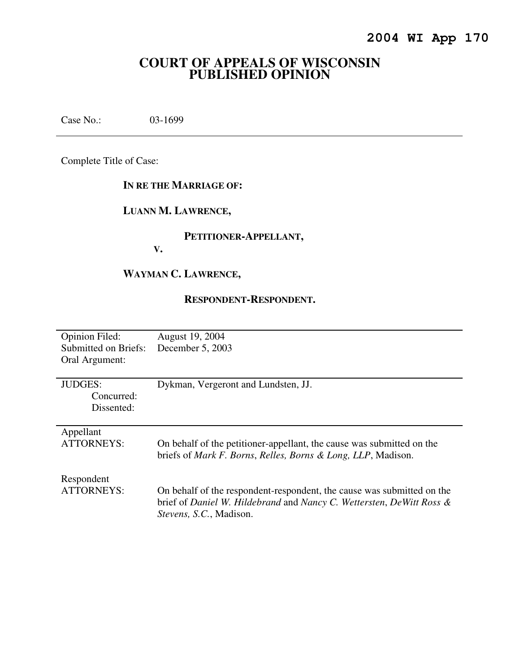# **COURT OF APPEALS OF WISCONSIN PUBLISHED OPINION**

Case No.: 03-1699

Complete Title of Case:

#### **IN RE THE MARRIAGE OF:**

## **LUANN M. LAWRENCE,**

### **PETITIONER-APPELLANT,**

**V.** 

# **WAYMAN C. LAWRENCE,**

#### **RESPONDENT-RESPONDENT.**

| <b>Opinion Filed:</b> | August 19, 2004                                                          |
|-----------------------|--------------------------------------------------------------------------|
| Submitted on Briefs:  | December 5, 2003                                                         |
| Oral Argument:        |                                                                          |
|                       |                                                                          |
| <b>JUDGES:</b>        | Dykman, Vergeront and Lundsten, JJ.                                      |
| Concurred:            |                                                                          |
| Dissented:            |                                                                          |
|                       |                                                                          |
| Appellant             |                                                                          |
| <b>ATTORNEYS:</b>     | On behalf of the petitioner-appellant, the cause was submitted on the    |
|                       | briefs of <i>Mark F. Borns, Relles, Borns &amp; Long, LLP</i> , Madison. |
|                       |                                                                          |
| Respondent            |                                                                          |
| ATTORNEYS:            | On behalf of the respondent-respondent, the cause was submitted on the   |
|                       | brief of Daniel W. Hildebrand and Nancy C. Wettersten, DeWitt Ross &     |
|                       | Stevens, S.C., Madison.                                                  |
|                       |                                                                          |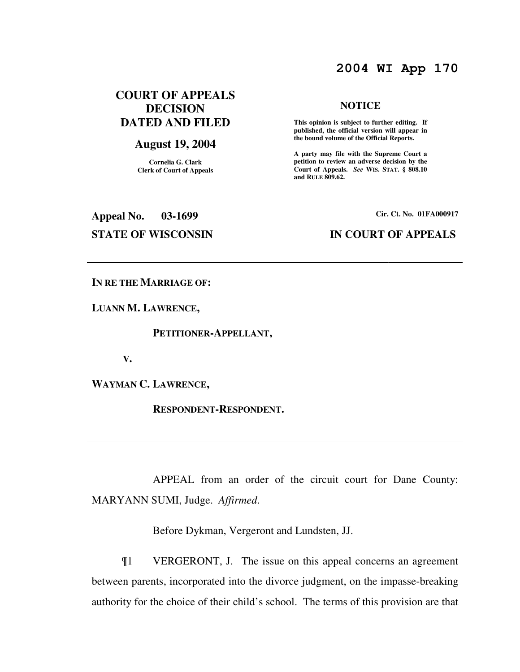# **2004 WI App 170**

### **COURT OF APPEALS DECISION DATED AND FILED**

#### **August 19, 2004**

**Cornelia G. Clark Clerk of Court of Appeals**

# **NOTICE**

 **This opinion is subject to further editing. If published, the official version will appear in the bound volume of the Official Reports.** 

**A party may file with the Supreme Court a petition to review an adverse decision by the Court of Appeals.** *See* **WIS. STAT. § 808.10 and RULE 809.62.** 

**Appeal No. 03-1699 Cir. Ct. No. 01FA000917 STATE OF WISCONSIN IN COURT OF APPEALS** 

**IN RE THE MARRIAGE OF:** 

**LUANN M. LAWRENCE,** 

 **PETITIONER-APPELLANT,** 

 **V.** 

**WAYMAN C. LAWRENCE,** 

 **RESPONDENT-RESPONDENT.** 

 APPEAL from an order of the circuit court for Dane County: MARYANN SUMI, Judge. *Affirmed*.

Before Dykman, Vergeront and Lundsten, JJ.

¶1 VERGERONT, J. The issue on this appeal concerns an agreement between parents, incorporated into the divorce judgment, on the impasse-breaking authority for the choice of their child's school. The terms of this provision are that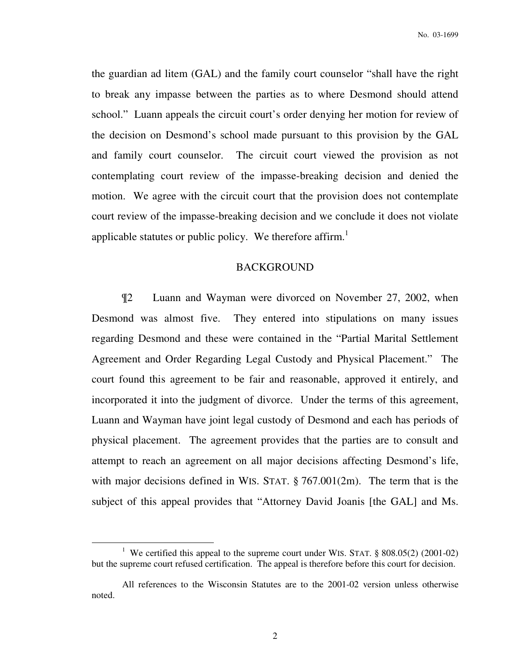the guardian ad litem (GAL) and the family court counselor "shall have the right to break any impasse between the parties as to where Desmond should attend school." Luann appeals the circuit court's order denying her motion for review of the decision on Desmond's school made pursuant to this provision by the GAL and family court counselor. The circuit court viewed the provision as not contemplating court review of the impasse-breaking decision and denied the motion. We agree with the circuit court that the provision does not contemplate court review of the impasse-breaking decision and we conclude it does not violate applicable statutes or public policy. We therefore affirm.<sup>1</sup>

#### BACKGROUND

¶2 Luann and Wayman were divorced on November 27, 2002, when Desmond was almost five. They entered into stipulations on many issues regarding Desmond and these were contained in the "Partial Marital Settlement Agreement and Order Regarding Legal Custody and Physical Placement." The court found this agreement to be fair and reasonable, approved it entirely, and incorporated it into the judgment of divorce. Under the terms of this agreement, Luann and Wayman have joint legal custody of Desmond and each has periods of physical placement. The agreement provides that the parties are to consult and attempt to reach an agreement on all major decisions affecting Desmond's life, with major decisions defined in WIS. STAT. § 767.001(2m). The term that is the subject of this appeal provides that "Attorney David Joanis [the GAL] and Ms.

 $\overline{a}$ 

<sup>&</sup>lt;sup>1</sup> We certified this appeal to the supreme court under WIS. STAT.  $\S$  808.05(2) (2001-02) but the supreme court refused certification. The appeal is therefore before this court for decision.

All references to the Wisconsin Statutes are to the 2001-02 version unless otherwise noted.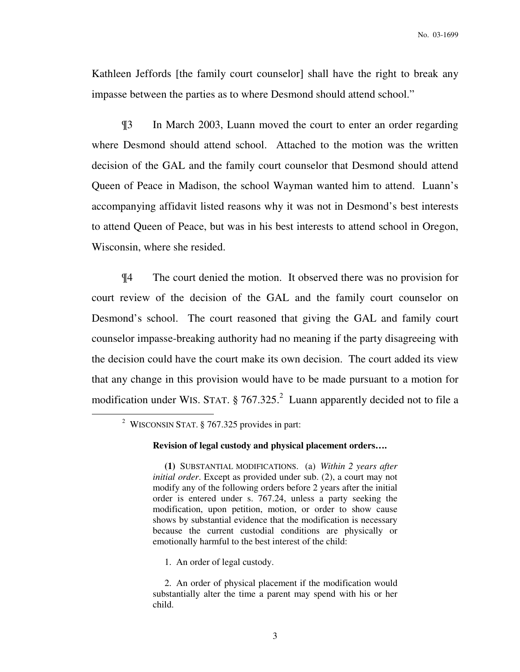Kathleen Jeffords [the family court counselor] shall have the right to break any impasse between the parties as to where Desmond should attend school."

¶3 In March 2003, Luann moved the court to enter an order regarding where Desmond should attend school. Attached to the motion was the written decision of the GAL and the family court counselor that Desmond should attend Queen of Peace in Madison, the school Wayman wanted him to attend. Luann's accompanying affidavit listed reasons why it was not in Desmond's best interests to attend Queen of Peace, but was in his best interests to attend school in Oregon, Wisconsin, where she resided.

¶4 The court denied the motion. It observed there was no provision for court review of the decision of the GAL and the family court counselor on Desmond's school. The court reasoned that giving the GAL and family court counselor impasse-breaking authority had no meaning if the party disagreeing with the decision could have the court make its own decision. The court added its view that any change in this provision would have to be made pursuant to a motion for modification under WIS. STAT.  $\S 767.325$ .<sup>2</sup> Luann apparently decided not to file a

 $\overline{a}$ 

1. An order of legal custody.

<sup>&</sup>lt;sup>2</sup> WISCONSIN STAT. § 767.325 provides in part:

**Revision of legal custody and physical placement orders….** 

**(1)** SUBSTANTIAL MODIFICATIONS. (a) *Within 2 years after initial order*. Except as provided under sub. (2), a court may not modify any of the following orders before 2 years after the initial order is entered under s. 767.24, unless a party seeking the modification, upon petition, motion, or order to show cause shows by substantial evidence that the modification is necessary because the current custodial conditions are physically or emotionally harmful to the best interest of the child:

 <sup>2.</sup> An order of physical placement if the modification would substantially alter the time a parent may spend with his or her child.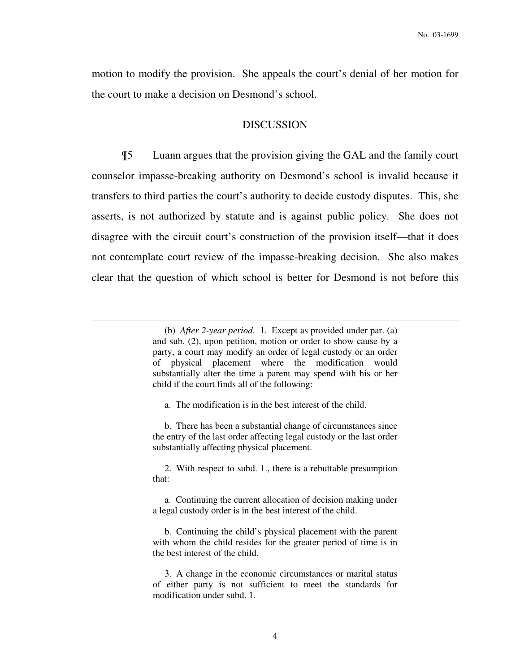motion to modify the provision. She appeals the court's denial of her motion for the court to make a decision on Desmond's school.

#### DISCUSSION

¶5 Luann argues that the provision giving the GAL and the family court counselor impasse-breaking authority on Desmond's school is invalid because it transfers to third parties the court's authority to decide custody disputes. This, she asserts, is not authorized by statute and is against public policy. She does not disagree with the circuit court's construction of the provision itself—that it does not contemplate court review of the impasse-breaking decision. She also makes clear that the question of which school is better for Desmond is not before this

a. The modification is in the best interest of the child.

 $\overline{a}$ 

 b. There has been a substantial change of circumstances since the entry of the last order affecting legal custody or the last order substantially affecting physical placement.

 2. With respect to subd. 1., there is a rebuttable presumption that:

 a. Continuing the current allocation of decision making under a legal custody order is in the best interest of the child.

 b. Continuing the child's physical placement with the parent with whom the child resides for the greater period of time is in the best interest of the child.

 3. A change in the economic circumstances or marital status of either party is not sufficient to meet the standards for modification under subd. 1.

 <sup>(</sup>b) *After 2-year period*. 1. Except as provided under par. (a) and sub. (2), upon petition, motion or order to show cause by a party, a court may modify an order of legal custody or an order of physical placement where the modification would substantially alter the time a parent may spend with his or her child if the court finds all of the following: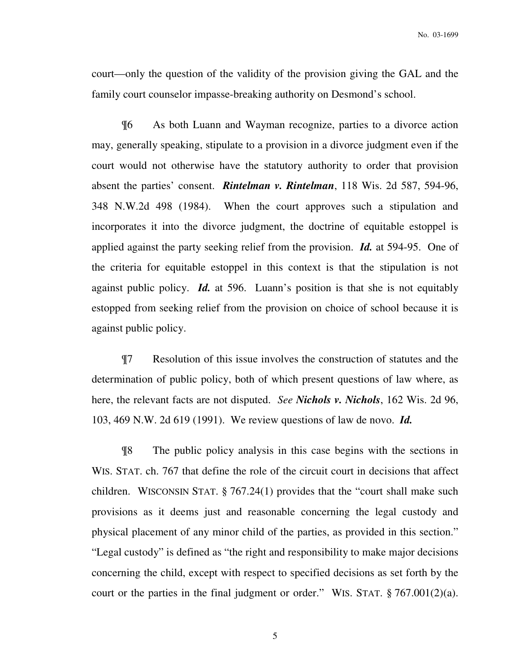court—only the question of the validity of the provision giving the GAL and the family court counselor impasse-breaking authority on Desmond's school.

¶6 As both Luann and Wayman recognize, parties to a divorce action may, generally speaking, stipulate to a provision in a divorce judgment even if the court would not otherwise have the statutory authority to order that provision absent the parties' consent. *Rintelman v. Rintelman*, 118 Wis. 2d 587, 594-96, 348 N.W.2d 498 (1984). When the court approves such a stipulation and incorporates it into the divorce judgment, the doctrine of equitable estoppel is applied against the party seeking relief from the provision. *Id.* at 594-95. One of the criteria for equitable estoppel in this context is that the stipulation is not against public policy. *Id.* at 596. Luann's position is that she is not equitably estopped from seeking relief from the provision on choice of school because it is against public policy.

¶7 Resolution of this issue involves the construction of statutes and the determination of public policy, both of which present questions of law where, as here, the relevant facts are not disputed. *See Nichols v. Nichols*, 162 Wis. 2d 96, 103, 469 N.W. 2d 619 (1991). We review questions of law de novo. *Id.*

¶8 The public policy analysis in this case begins with the sections in WIS. STAT. ch. 767 that define the role of the circuit court in decisions that affect children. WISCONSIN STAT. § 767.24(1) provides that the "court shall make such provisions as it deems just and reasonable concerning the legal custody and physical placement of any minor child of the parties, as provided in this section." "Legal custody" is defined as "the right and responsibility to make major decisions concerning the child, except with respect to specified decisions as set forth by the court or the parties in the final judgment or order." WIS. STAT. § 767.001(2)(a).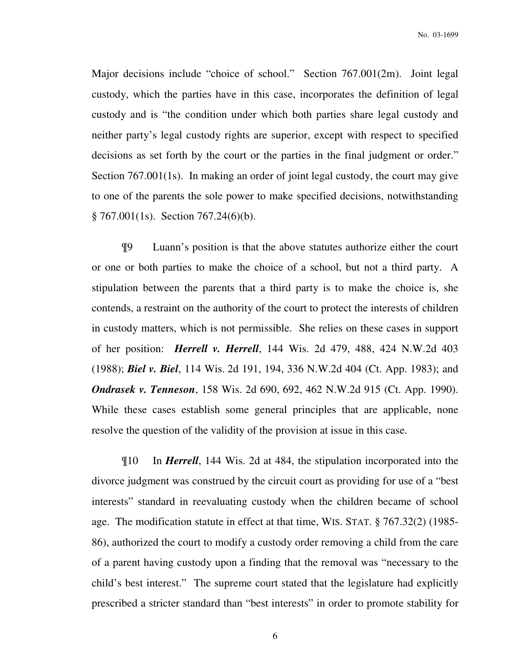Major decisions include "choice of school." Section 767.001(2m). Joint legal custody, which the parties have in this case, incorporates the definition of legal custody and is "the condition under which both parties share legal custody and neither party's legal custody rights are superior, except with respect to specified decisions as set forth by the court or the parties in the final judgment or order." Section 767.001(1s). In making an order of joint legal custody, the court may give to one of the parents the sole power to make specified decisions, notwithstanding  $§ 767.001(1s)$ . Section 767.24(6)(b).

¶9 Luann's position is that the above statutes authorize either the court or one or both parties to make the choice of a school, but not a third party. A stipulation between the parents that a third party is to make the choice is, she contends, a restraint on the authority of the court to protect the interests of children in custody matters, which is not permissible. She relies on these cases in support of her position: *Herrell v. Herrell*, 144 Wis. 2d 479, 488, 424 N.W.2d 403 (1988); *Biel v. Biel*, 114 Wis. 2d 191, 194, 336 N.W.2d 404 (Ct. App. 1983); and *Ondrasek v. Tenneson*, 158 Wis. 2d 690, 692, 462 N.W.2d 915 (Ct. App. 1990). While these cases establish some general principles that are applicable, none resolve the question of the validity of the provision at issue in this case.

¶10 In *Herrell*, 144 Wis. 2d at 484, the stipulation incorporated into the divorce judgment was construed by the circuit court as providing for use of a "best interests" standard in reevaluating custody when the children became of school age. The modification statute in effect at that time, WIS. STAT. § 767.32(2) (1985- 86), authorized the court to modify a custody order removing a child from the care of a parent having custody upon a finding that the removal was "necessary to the child's best interest." The supreme court stated that the legislature had explicitly prescribed a stricter standard than "best interests" in order to promote stability for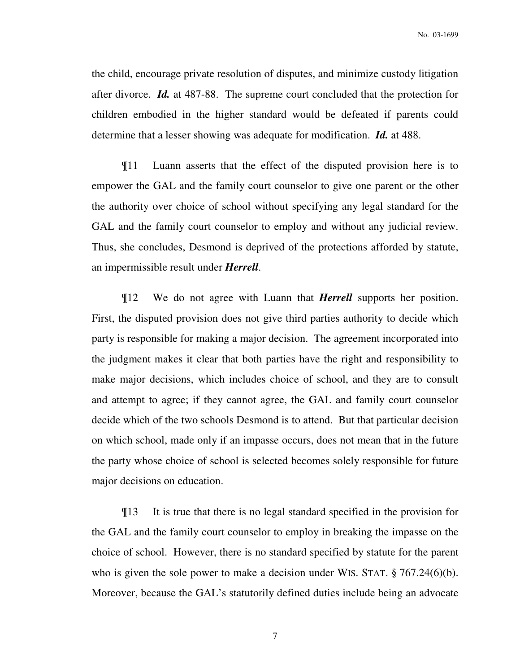the child, encourage private resolution of disputes, and minimize custody litigation after divorce. *Id.* at 487-88. The supreme court concluded that the protection for children embodied in the higher standard would be defeated if parents could determine that a lesser showing was adequate for modification. *Id.* at 488.

¶11 Luann asserts that the effect of the disputed provision here is to empower the GAL and the family court counselor to give one parent or the other the authority over choice of school without specifying any legal standard for the GAL and the family court counselor to employ and without any judicial review. Thus, she concludes, Desmond is deprived of the protections afforded by statute, an impermissible result under *Herrell*.

¶12 We do not agree with Luann that *Herrell* supports her position. First, the disputed provision does not give third parties authority to decide which party is responsible for making a major decision. The agreement incorporated into the judgment makes it clear that both parties have the right and responsibility to make major decisions, which includes choice of school, and they are to consult and attempt to agree; if they cannot agree, the GAL and family court counselor decide which of the two schools Desmond is to attend. But that particular decision on which school, made only if an impasse occurs, does not mean that in the future the party whose choice of school is selected becomes solely responsible for future major decisions on education.

¶13 It is true that there is no legal standard specified in the provision for the GAL and the family court counselor to employ in breaking the impasse on the choice of school. However, there is no standard specified by statute for the parent who is given the sole power to make a decision under WIS. STAT. § 767.24(6)(b). Moreover, because the GAL's statutorily defined duties include being an advocate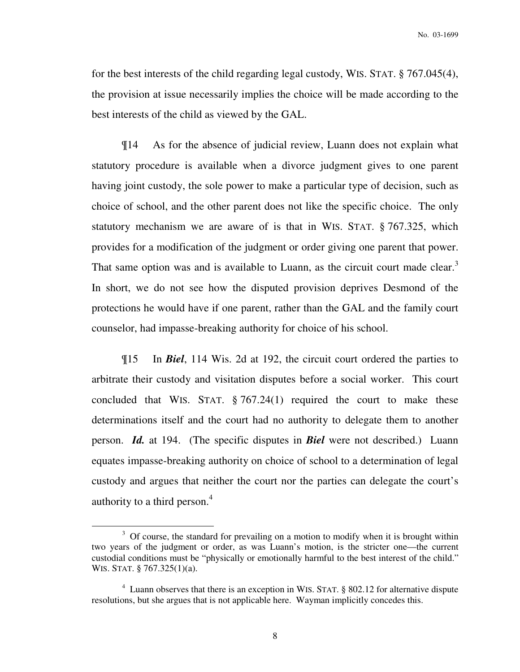for the best interests of the child regarding legal custody, WIS. STAT. § 767.045(4), the provision at issue necessarily implies the choice will be made according to the best interests of the child as viewed by the GAL.

¶14 As for the absence of judicial review, Luann does not explain what statutory procedure is available when a divorce judgment gives to one parent having joint custody, the sole power to make a particular type of decision, such as choice of school, and the other parent does not like the specific choice. The only statutory mechanism we are aware of is that in WIS. STAT. § 767.325, which provides for a modification of the judgment or order giving one parent that power. That same option was and is available to Luann, as the circuit court made clear.<sup>3</sup> In short, we do not see how the disputed provision deprives Desmond of the protections he would have if one parent, rather than the GAL and the family court counselor, had impasse-breaking authority for choice of his school.

¶15 In *Biel*, 114 Wis. 2d at 192, the circuit court ordered the parties to arbitrate their custody and visitation disputes before a social worker. This court concluded that WIS. STAT.  $\S 767.24(1)$  required the court to make these determinations itself and the court had no authority to delegate them to another person. *Id.* at 194. (The specific disputes in *Biel* were not described.) Luann equates impasse-breaking authority on choice of school to a determination of legal custody and argues that neither the court nor the parties can delegate the court's authority to a third person.<sup>4</sup>

 $\overline{a}$ 

 $3$  Of course, the standard for prevailing on a motion to modify when it is brought within two years of the judgment or order, as was Luann's motion, is the stricter one—the current custodial conditions must be "physically or emotionally harmful to the best interest of the child." WIS. STAT. § 767.325(1)(a).

<sup>&</sup>lt;sup>4</sup> Luann observes that there is an exception in WIS. STAT. § 802.12 for alternative dispute resolutions, but she argues that is not applicable here. Wayman implicitly concedes this.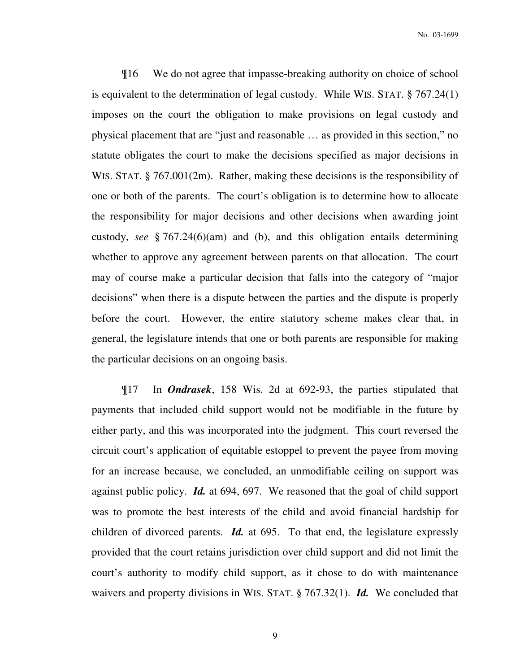¶16 We do not agree that impasse-breaking authority on choice of school is equivalent to the determination of legal custody. While WIS. STAT. § 767.24(1) imposes on the court the obligation to make provisions on legal custody and physical placement that are "just and reasonable … as provided in this section," no statute obligates the court to make the decisions specified as major decisions in WIS. STAT. § 767.001(2m). Rather, making these decisions is the responsibility of one or both of the parents. The court's obligation is to determine how to allocate the responsibility for major decisions and other decisions when awarding joint custody, *see* § 767.24(6)(am) and (b), and this obligation entails determining whether to approve any agreement between parents on that allocation. The court may of course make a particular decision that falls into the category of "major decisions" when there is a dispute between the parties and the dispute is properly before the court. However, the entire statutory scheme makes clear that, in general, the legislature intends that one or both parents are responsible for making the particular decisions on an ongoing basis.

¶17 In *Ondrasek*, 158 Wis. 2d at 692-93, the parties stipulated that payments that included child support would not be modifiable in the future by either party, and this was incorporated into the judgment. This court reversed the circuit court's application of equitable estoppel to prevent the payee from moving for an increase because, we concluded, an unmodifiable ceiling on support was against public policy. *Id.* at 694, 697. We reasoned that the goal of child support was to promote the best interests of the child and avoid financial hardship for children of divorced parents. *Id.* at 695. To that end, the legislature expressly provided that the court retains jurisdiction over child support and did not limit the court's authority to modify child support, as it chose to do with maintenance waivers and property divisions in WIS. STAT. § 767.32(1). *Id.* We concluded that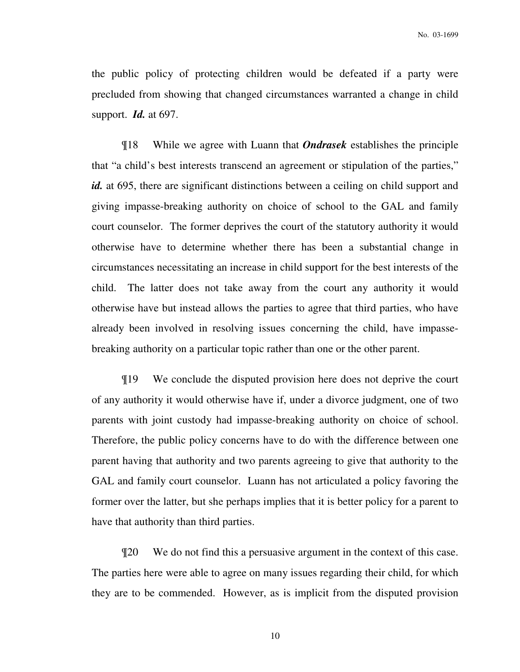the public policy of protecting children would be defeated if a party were precluded from showing that changed circumstances warranted a change in child support. *Id.* at 697.

¶18 While we agree with Luann that *Ondrasek* establishes the principle that "a child's best interests transcend an agreement or stipulation of the parties," id. at 695, there are significant distinctions between a ceiling on child support and giving impasse-breaking authority on choice of school to the GAL and family court counselor. The former deprives the court of the statutory authority it would otherwise have to determine whether there has been a substantial change in circumstances necessitating an increase in child support for the best interests of the child. The latter does not take away from the court any authority it would otherwise have but instead allows the parties to agree that third parties, who have already been involved in resolving issues concerning the child, have impassebreaking authority on a particular topic rather than one or the other parent.

¶19 We conclude the disputed provision here does not deprive the court of any authority it would otherwise have if, under a divorce judgment, one of two parents with joint custody had impasse-breaking authority on choice of school. Therefore, the public policy concerns have to do with the difference between one parent having that authority and two parents agreeing to give that authority to the GAL and family court counselor. Luann has not articulated a policy favoring the former over the latter, but she perhaps implies that it is better policy for a parent to have that authority than third parties.

¶20 We do not find this a persuasive argument in the context of this case. The parties here were able to agree on many issues regarding their child, for which they are to be commended. However, as is implicit from the disputed provision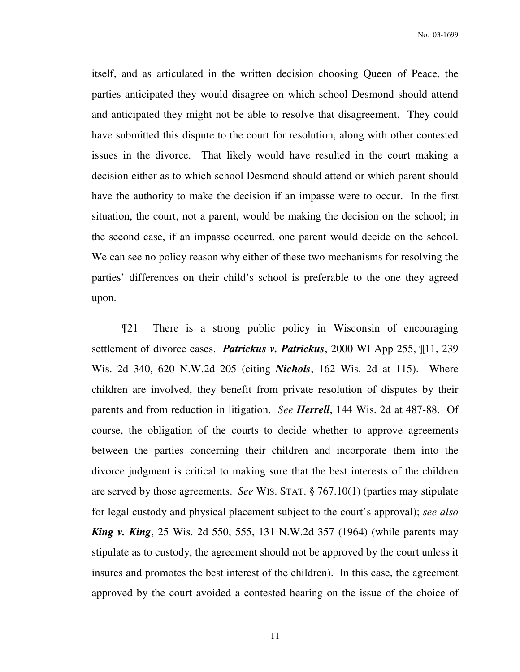itself, and as articulated in the written decision choosing Queen of Peace, the parties anticipated they would disagree on which school Desmond should attend and anticipated they might not be able to resolve that disagreement. They could have submitted this dispute to the court for resolution, along with other contested issues in the divorce. That likely would have resulted in the court making a decision either as to which school Desmond should attend or which parent should have the authority to make the decision if an impasse were to occur. In the first situation, the court, not a parent, would be making the decision on the school; in the second case, if an impasse occurred, one parent would decide on the school. We can see no policy reason why either of these two mechanisms for resolving the parties' differences on their child's school is preferable to the one they agreed upon.

¶21 There is a strong public policy in Wisconsin of encouraging settlement of divorce cases. *Patrickus v. Patrickus*, 2000 WI App 255, ¶11, 239 Wis. 2d 340, 620 N.W.2d 205 (citing *Nichols*, 162 Wis. 2d at 115). Where children are involved, they benefit from private resolution of disputes by their parents and from reduction in litigation. *See Herrell*, 144 Wis. 2d at 487-88. Of course, the obligation of the courts to decide whether to approve agreements between the parties concerning their children and incorporate them into the divorce judgment is critical to making sure that the best interests of the children are served by those agreements. *See* WIS. STAT. § 767.10(1) (parties may stipulate for legal custody and physical placement subject to the court's approval); *see also King v. King*, 25 Wis. 2d 550, 555, 131 N.W.2d 357 (1964) (while parents may stipulate as to custody, the agreement should not be approved by the court unless it insures and promotes the best interest of the children). In this case, the agreement approved by the court avoided a contested hearing on the issue of the choice of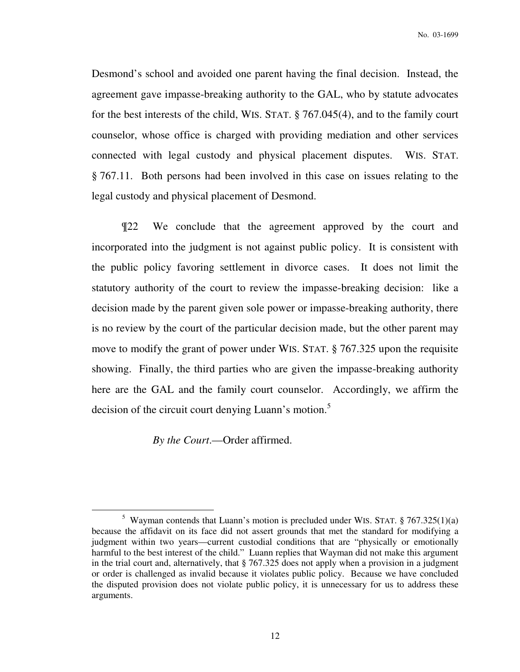Desmond's school and avoided one parent having the final decision. Instead, the agreement gave impasse-breaking authority to the GAL, who by statute advocates for the best interests of the child, WIS. STAT. § 767.045(4), and to the family court counselor, whose office is charged with providing mediation and other services connected with legal custody and physical placement disputes. WIS. STAT. § 767.11. Both persons had been involved in this case on issues relating to the legal custody and physical placement of Desmond.

¶22 We conclude that the agreement approved by the court and incorporated into the judgment is not against public policy. It is consistent with the public policy favoring settlement in divorce cases. It does not limit the statutory authority of the court to review the impasse-breaking decision: like a decision made by the parent given sole power or impasse-breaking authority, there is no review by the court of the particular decision made, but the other parent may move to modify the grant of power under WIS. STAT. § 767.325 upon the requisite showing. Finally, the third parties who are given the impasse-breaking authority here are the GAL and the family court counselor. Accordingly, we affirm the decision of the circuit court denying Luann's motion.<sup>5</sup>

*By the Court*.—Order affirmed.

 $\overline{a}$ 

<sup>&</sup>lt;sup>5</sup> Wayman contends that Luann's motion is precluded under WIS. STAT.  $§ 767.325(1)(a)$ because the affidavit on its face did not assert grounds that met the standard for modifying a judgment within two years—current custodial conditions that are "physically or emotionally harmful to the best interest of the child." Luann replies that Wayman did not make this argument in the trial court and, alternatively, that § 767.325 does not apply when a provision in a judgment or order is challenged as invalid because it violates public policy. Because we have concluded the disputed provision does not violate public policy, it is unnecessary for us to address these arguments.